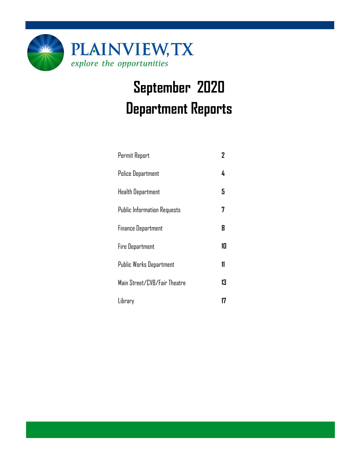

# **September 2020 Department Reports**

| Permit Report                      | 2  |
|------------------------------------|----|
| <b>Police Department</b>           | 4  |
| <b>Health Department</b>           | 5  |
| <b>Public Information Requests</b> | 7  |
| <b>Finance Department</b>          | 8  |
| <b>Fire Department</b>             | 10 |
| Public Works Department            | 11 |
| Main Street/CVB/Fair Theatre       | 13 |
| Library                            |    |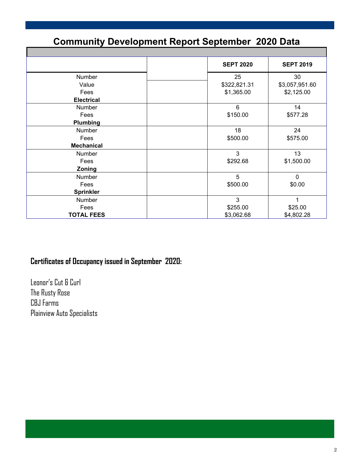### **Community Development Report September 2020 Data**

|                   | <b>SEPT 2020</b> | <b>SEPT 2019</b> |
|-------------------|------------------|------------------|
| Number            | 25               | 30               |
| Value             | \$322,821.31     | \$3,057,951.60   |
| Fees              | \$1,365.00       | \$2,125.00       |
| <b>Electrical</b> |                  |                  |
| Number            | 6                | 14               |
| Fees              | \$150.00         | \$577.28         |
| Plumbing          |                  |                  |
| Number            | 18               | 24               |
| Fees              | \$500.00         | \$575.00         |
| <b>Mechanical</b> |                  |                  |
| Number            | 3                | 13               |
| Fees              | \$292.68         | \$1,500.00       |
| Zoning            |                  |                  |
| Number            | 5                | $\mathbf 0$      |
| Fees              | \$500.00         | \$0.00           |
| <b>Sprinkler</b>  |                  |                  |
| Number            | $\mathbf{3}$     | 1                |
| Fees              | \$255.00         | \$25.00          |
| <b>TOTAL FEES</b> | \$3,062.68       | \$4,802.28       |

#### **Certificates of Occupancy issued in September 2020:**

Leonor's Cut & Curl The Rusty Rose CBJ Farms Plainview Auto Specialists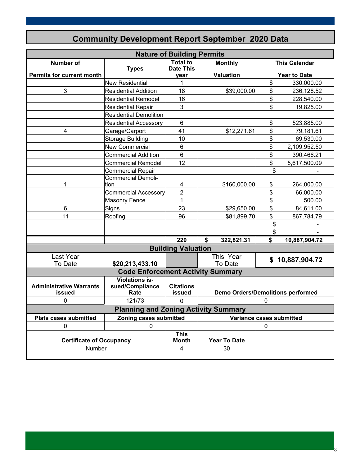| <b>Nature of Building Permits</b>         |                                                  |                                     |    |                                          |    |                      |
|-------------------------------------------|--------------------------------------------------|-------------------------------------|----|------------------------------------------|----|----------------------|
| <b>Number of</b>                          | <b>Types</b>                                     | <b>Total to</b><br><b>Date This</b> |    | <b>Monthly</b>                           |    | <b>This Calendar</b> |
| <b>Permits for current month</b>          |                                                  | year                                |    | Valuation                                |    | <b>Year to Date</b>  |
|                                           | New Residential                                  | 1                                   |    |                                          | \$ | 330,000.00           |
| 3                                         | <b>Residential Addition</b>                      | 18                                  |    | \$39,000.00                              | \$ | 236,128.52           |
|                                           | <b>Residential Remodel</b>                       | 16                                  |    |                                          | \$ | 228,540.00           |
|                                           | <b>Residential Repair</b>                        | 3                                   |    |                                          | \$ | 19,825.00            |
|                                           | <b>Residential Demolition</b>                    |                                     |    |                                          |    |                      |
|                                           | <b>Residential Accessory</b>                     | 6                                   |    |                                          | \$ | 523,885.00           |
| 4                                         | Garage/Carport                                   | 41                                  |    | \$12,271.61                              | \$ | 79,181.61            |
|                                           | Storage Building                                 | 10                                  |    |                                          | \$ | 69,530.00            |
|                                           | New Commercial                                   | 6                                   |    |                                          | \$ | 2,109,952.50         |
|                                           | Commercial Addition                              | 6                                   |    |                                          | \$ | 390,466.21           |
|                                           | Commercial Remodel                               | 12                                  |    |                                          | \$ | 5,617,500.09         |
|                                           | Commercial Repair                                |                                     |    |                                          | \$ |                      |
|                                           | Commercial Demoli-                               |                                     |    |                                          |    |                      |
| 1                                         | tion                                             | 4                                   |    | \$160,000.00                             | \$ | 264,000.00           |
|                                           | <b>Commercial Accessory</b>                      | $\overline{2}$                      |    |                                          | \$ | 66,000.00            |
|                                           | <b>Masonry Fence</b>                             | 1                                   |    |                                          | \$ | 500.00               |
| 6                                         | Signs                                            | 23                                  |    | \$29,650.00                              | \$ | 84,611.00            |
| 11                                        | Roofing                                          | 96                                  |    | \$81,899.70                              | \$ | 867,784.79           |
|                                           |                                                  |                                     |    |                                          | \$ |                      |
|                                           |                                                  |                                     |    |                                          | \$ |                      |
|                                           |                                                  | 220                                 | \$ | 322,821.31                               | \$ | 10,887,904.72        |
|                                           |                                                  | <b>Building Valuation</b>           |    |                                          |    |                      |
| Last Year                                 |                                                  |                                     |    | This Year                                |    | \$10,887,904.72      |
| To Date                                   | \$20,213,433.10                                  |                                     |    | To Date                                  |    |                      |
|                                           | <b>Code Enforcement Activity Summary</b>         |                                     |    |                                          |    |                      |
| <b>Administrative Warrants</b><br>issued  | <b>Violations is-</b><br>sued/Compliance<br>Rate | <b>Citations</b><br>issued          |    | <b>Demo Orders/Demolitions performed</b> |    |                      |
| 0                                         | 121/73                                           | 0                                   |    |                                          | 0  |                      |
|                                           | <b>Planning and Zoning Activity Summary</b>      |                                     |    |                                          |    |                      |
| <b>Plats cases submitted</b>              | Zoning cases submitted                           |                                     |    | Variance cases submitted                 |    |                      |
| 0                                         | 0                                                |                                     |    |                                          | 0  |                      |
| <b>Certificate of Occupancy</b><br>Number |                                                  | <b>This</b><br><b>Month</b><br>4    |    | <b>Year To Date</b><br>30                |    |                      |

3

### **Community Development Report September 2020 Data**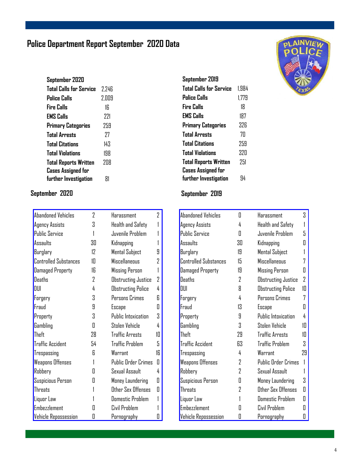### **Police Department Report September 2020 Data**

| September 2020                 |       |
|--------------------------------|-------|
| <b>Total Calls for Service</b> | 2.246 |
| Police Calls                   | 2.009 |
| Fire Calls                     | ۱ĥ    |
| <b>EMS Calls</b>               | 771   |
| <b>Primary Categories</b>      | 259   |
| <b>Total Arrests</b>           | 77    |
| <b>Total Citations</b>         | 143   |
| <b>Total Violations</b>        | 198   |
| <b>Total Reports Written</b>   | אח?   |
| Cases Assigned for             |       |
| further Investigation          | 81    |

| Abandoned Vehicles           | 7  | Harassment                 | 2  |
|------------------------------|----|----------------------------|----|
| <b>Agency Assists</b>        | Χ  | <b>Health and Safety</b>   |    |
| <b>Public Service</b>        |    | Juvenile Problem           |    |
| Assaults                     | 30 | Kidnapping                 |    |
| Burglary                     | 12 | Mental Subject             | 9  |
| <b>Controlled Substances</b> | 1П | <b>Miscellaneous</b>       | 7  |
| <b>Damaged Property</b>      | 16 | <b>Missing Person</b>      | 1  |
| <b>Deaths</b>                | 2  | <b>Obstructing Justice</b> | 2  |
| DIII                         | 4  | <b>Obstructing Police</b>  | 4  |
| Forgery                      | 3  | Persons Crimes             | R  |
| Fraud                        | 9  | Escape                     | Π  |
| Property                     | 3  | <b>Public Intoxication</b> | 3  |
| Gambling                     | Π  | Stolen Vehicle             | 4  |
| Theft                        | 28 | <b>Traffic Arrests</b>     | 10 |
| <b>Traffic Accident</b>      | 54 | <b>Traffic Problem</b>     | 5  |
| Trespassing                  | R  | Warrant                    | 16 |
| <b>Weapons Offenses</b>      |    | <b>Public Order Crimes</b> | O  |
| Robbery                      | П  | Sexual Assault             | 4  |
| Suspicious Person            | П  | Money Laundering           | Π  |
| <b>Threats</b>               |    | Other Sex Offenses         | 0  |
| Liquor Law                   |    | <b>Domestic Problem</b>    |    |
| <b>Embezzlement</b>          | П  | Civil Problem              |    |
| <b>Vehicle Repossession</b>  | Π  | <u>Pornography</u>         | П  |

| 1.984 |
|-------|
| 1.779 |
| 18    |
| 187   |
| 326   |
| 7Π    |
| 259   |
| 32N   |
| 251   |
|       |
| 44    |
|       |

#### **September 2020 September 2019**

| <b>Abandoned Vehicles</b>    | П  | Harassment                 | 3  |
|------------------------------|----|----------------------------|----|
| Agency Assists               | 4  | Health and Safety          | 1  |
| <b>Public Service</b>        | Π  | Juvenile Problem           | 5  |
| Assaults                     | 30 | Kidnapping                 | П  |
| Burglary                     | 19 | Mental Subject             |    |
| <b>Controlled Substances</b> | 15 | Miscellaneous              | 7  |
| Damaged Property             | 19 | <b>Missing Person</b>      | П  |
| Deaths                       | 7  | Obstructing Justice        | 7  |
| DIII                         | 8  | Obstructing Police         | 10 |
| Forgery                      | 4  | Persons Crimes             | 7  |
| Fraud                        | 13 | Escape                     | П  |
| Property                     | 9  | Public Intoxication        | 4  |
| Gambling                     | Κ  | Stolen Vehicle             | 1П |
| Theft                        | 29 | <b>Traffic Arrests</b>     | 10 |
| <b>Traffic Accident</b>      | 63 | <b>Traffic Problem</b>     | 3  |
| Trespassing                  | 4  | Warrant                    | 29 |
| <b>Weapons Offenses</b>      | 2  | <b>Public Order Crimes</b> |    |
| Robbery                      | 2  | Sexual Assault             |    |
| Suspicious Person            | Π  | Money Laundering           | 3  |
| <b>Threats</b>               | 2  | Other Sex Offenses         | П  |
| Liquor Law                   |    | Domestic Problem           | П  |
| <b>Embezzlement</b>          | П  | Civil Problem              | Ш  |
| Vehicle Repossession         | 0  | Pornography                | O  |

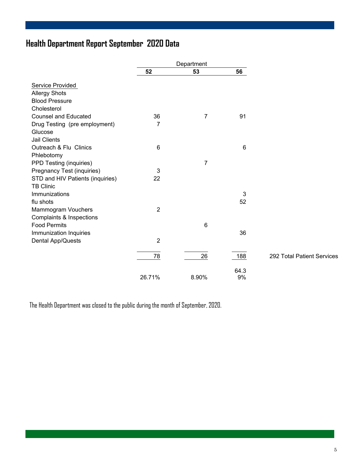### **Health Department Report September 2020 Data**

|                                  |                | Department     |            |                            |
|----------------------------------|----------------|----------------|------------|----------------------------|
|                                  | 52             | 53             | 56         |                            |
| Service Provided                 |                |                |            |                            |
| <b>Allergy Shots</b>             |                |                |            |                            |
| <b>Blood Pressure</b>            |                |                |            |                            |
| Cholesterol                      |                |                |            |                            |
| <b>Counsel and Educated</b>      | 36             | $\overline{7}$ | 91         |                            |
| Drug Testing (pre employment)    | 7              |                |            |                            |
| Glucose                          |                |                |            |                            |
| <b>Jail Clients</b>              |                |                |            |                            |
| Outreach & Flu Clinics           | 6              |                | 6          |                            |
| Phlebotomy                       |                |                |            |                            |
| PPD Testing (inquiries)          |                | 7              |            |                            |
| Pregnancy Test (inquiries)       | 3              |                |            |                            |
| STD and HIV Patients (inquiries) | 22             |                |            |                            |
| <b>TB Clinic</b>                 |                |                |            |                            |
| Immunizations                    |                |                | 3          |                            |
| flu shots                        |                |                | 52         |                            |
| <b>Mammogram Vouchers</b>        | $\overline{2}$ |                |            |                            |
| Complaints & Inspections         |                |                |            |                            |
| <b>Food Permits</b>              |                | $\,6$          |            |                            |
| Immunization Inquiries           |                |                | 36         |                            |
| Dental App/Quests                | $\overline{2}$ |                |            |                            |
|                                  | 78             | 26             | 188        | 292 Total Patient Services |
|                                  |                |                |            |                            |
|                                  | 26.71%         | 8.90%          | 64.3<br>9% |                            |

The Health Department was closed to the public during the month of September, 2020.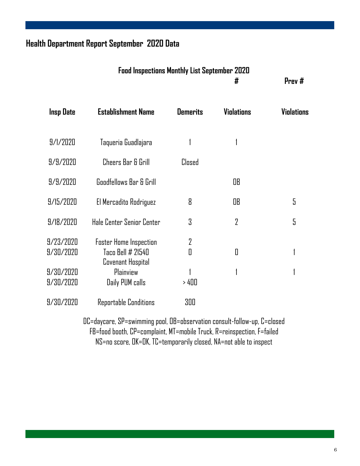### **Health Department Report September 2020 Data**

| <b>Food Inspections Monthly List September 2020</b> |        |
|-----------------------------------------------------|--------|
|                                                     | Prev # |

| Insp Date | <b>Establishment Name</b>              | <b>Demerits</b> | <b>Violations</b> | Violations |
|-----------|----------------------------------------|-----------------|-------------------|------------|
|           |                                        |                 |                   |            |
| 9/1/2020  | Taqueria Guadlajara                    |                 |                   |            |
| 9/9/2020  | Cheers Bar & Grill                     | Closed          |                   |            |
| 9/9/2020  | Goodfellows Bar & Grill                |                 | OB                |            |
| 9/15/2020 | El Mercadito Rodriguez                 | 8               | OB                | 5          |
| 9/18/2020 | Hale Center Senior Center              | 3               | $\overline{2}$    | 5          |
| 9/23/2020 | <b>Foster Home Inspection</b>          | 2               |                   |            |
| 9/30/2020 | Taco Bell # 21540<br>Covenant Hospital | Π               | Δ                 |            |
| 9/30/2020 | Plainview                              |                 |                   |            |
| 9/30/2020 | Daily PUM calls                        | > 400           |                   |            |
| 9/30/2020 | Reportable Conditions                  | 300             |                   |            |

DC=daycare, SP=swimming pool, OB=observation consult-follow-up, C=closed FB=food booth, CP=complaint, MT=mobile Truck, R=reinspection, F=failed NS=no score, OK=OK, TC=temporarily closed, NA=not able to inspect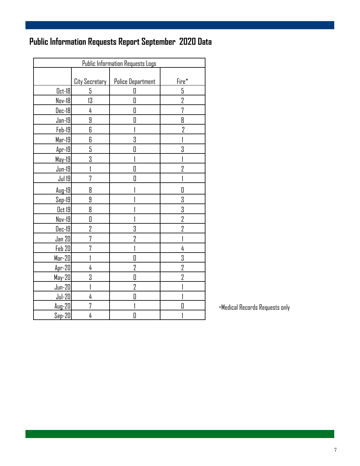## **Public Information Requests Report September 2020 Data**

| <b>Public Information Requests Logs</b> |                |                          |                |  |  |
|-----------------------------------------|----------------|--------------------------|----------------|--|--|
|                                         |                |                          |                |  |  |
|                                         | City Secretary | <b>Police Department</b> | Fire*          |  |  |
| <u>0ct</u> -18                          | 5              | 0                        | 5              |  |  |
| Nov-18                                  | 13             | O                        | 2              |  |  |
| <u> Dec-18</u>                          | 4              | 0                        | 7              |  |  |
| $Jan-19$                                | 9              | 0                        | 8              |  |  |
| $Feb-19$                                | 6              | 1                        | $\overline{2}$ |  |  |
| $Mar-19$                                | 6              | 3                        |                |  |  |
| $Apr-19$                                | 5              | 0                        | 3              |  |  |
| May-19                                  | 3              |                          |                |  |  |
| $Jun-19$                                |                | O                        | $\overline{2}$ |  |  |
| Jul 19                                  | 7              | $\overline{\Pi}$         |                |  |  |
| $Aug-19$                                | 8              |                          | Π              |  |  |
| $Sep-19$                                | 9              |                          | 3              |  |  |
| $0$ ct 19                               | 8              |                          | 3              |  |  |
| Nov-19                                  | 0              |                          | $\overline{2}$ |  |  |
| Dec-19                                  | $\overline{2}$ | 3                        | $\overline{2}$ |  |  |
| Jan 20                                  | 7              | $\overline{2}$           |                |  |  |
| Feb 20                                  | 7              |                          | 4              |  |  |
| $Mar-20$                                |                | D                        | 3              |  |  |
| $Apr-20$                                | 4              | 2                        | 2              |  |  |
| $May-20$                                | 3              | O                        | 7              |  |  |
| $Jun-20$                                |                | $\overline{2}$           |                |  |  |
| $Jul-20$                                | 4              | O                        |                |  |  |
| $Auq-20$                                | 7              |                          | П              |  |  |
| $Sep-20$                                | 4              | 0                        |                |  |  |

\*Medical Records Requests only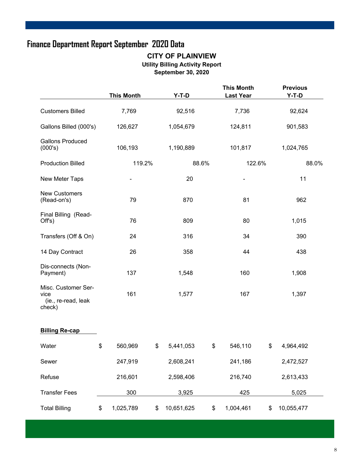### **Finance Department Report September 2020 Data**

#### **CITY OF PLAINVIEW Utility Billing Activity Report September 30, 2020**

|                                                              | <b>This Month</b> | $Y-T-D$          |       | <b>This Month</b><br><b>Last Year</b> | <b>Previous</b><br>$Y-T-D$ |       |
|--------------------------------------------------------------|-------------------|------------------|-------|---------------------------------------|----------------------------|-------|
| <b>Customers Billed</b>                                      | 7,769             | 92,516           |       | 7,736                                 | 92,624                     |       |
| Gallons Billed (000's)                                       | 126,627           | 1,054,679        |       | 124,811                               | 901,583                    |       |
| <b>Gallons Produced</b><br>(000's)                           | 106,193           | 1,190,889        |       | 101,817                               | 1,024,765                  |       |
| <b>Production Billed</b>                                     | 119.2%            |                  | 88.6% | 122.6%                                |                            | 88.0% |
| New Meter Taps                                               |                   | 20               |       |                                       | 11                         |       |
| <b>New Customers</b><br>(Read-on's)                          | 79                | 870              |       | 81                                    | 962                        |       |
| Final Billing (Read-<br>Off's)                               | 76                | 809              |       | 80                                    | 1,015                      |       |
| Transfers (Off & On)                                         | 24                | 316              |       | 34                                    | 390                        |       |
| 14 Day Contract                                              | 26                | 358              |       | 44                                    | 438                        |       |
| Dis-connects (Non-<br>Payment)                               | 137               | 1,548            |       | 160                                   | 1,908                      |       |
| Misc. Customer Ser-<br>vice<br>(ie., re-read, leak<br>check) | 161               | 1,577            |       | 167                                   | 1,397                      |       |
| <b>Billing Re-cap</b>                                        |                   |                  |       |                                       |                            |       |
| Water                                                        | \$<br>560,969     | \$<br>5,441,053  | \$    | 546,110                               | \$<br>4,964,492            |       |
| Sewer                                                        | 247,919           | 2,608,241        |       | 241,186                               | 2,472,527                  |       |
| Refuse                                                       | 216,601           | 2,598,406        |       | 216,740                               | 2,613,433                  |       |
| <b>Transfer Fees</b>                                         | 300               | 3,925            |       | 425                                   | 5,025                      |       |
| <b>Total Billing</b>                                         | \$<br>1,025,789   | \$<br>10,651,625 | \$    | 1,004,461                             | \$<br>10,055,477           |       |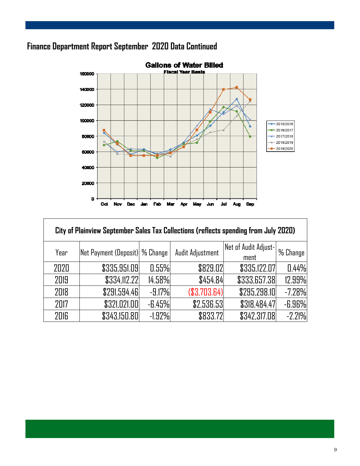### **Finance Department Report September 2020 Data Continued**

Г



| City of Plainview September Sales Tax Collections (reflects spending from July 2020) |                                       |           |                  |                              |          |
|--------------------------------------------------------------------------------------|---------------------------------------|-----------|------------------|------------------------------|----------|
| Year                                                                                 | <b>Net Payment (Deposit) % Change</b> |           | Audit Adjustment | Net of Audit Adjust-<br>ment | % Change |
| 2020                                                                                 | \$335,951.09                          | 0.55%     | \$829.02         | \$335,122.07                 | 0.44%    |
| 2019                                                                                 | \$334,112.22                          | 14.58%    | \$454.84         | \$333,657.38                 | 12.99%   |
| 2018                                                                                 | \$291,594.46                          | $-9.17%$  | (\$3,703.64)     | \$295,298.10                 | $-7.28%$ |
| 2017                                                                                 | \$321,021.00                          | $-6.45%$  | \$2,536.53       | \$318,484.47                 | $-6.96%$ |
| 2016                                                                                 | \$343,150.80                          | $-1.92\%$ | \$833.72         | \$342,317.08                 | $-2.21%$ |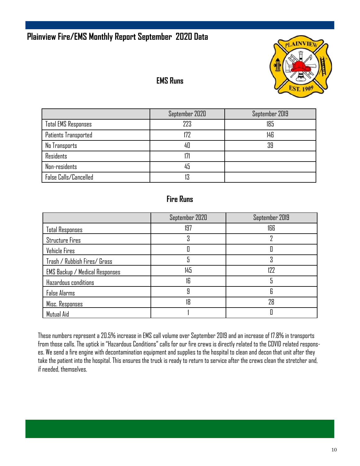### **Plainview Fire/EMS Monthly Report September 2020 Data**



### **EMS Runs**

|                            | September 2020 | September 2019 |
|----------------------------|----------------|----------------|
| <b>Total EMS Responses</b> | 223            | 185            |
| Patients Transported       | 177            | 146            |
| No Transports              | 40             | 39             |
| Residents                  | 17             |                |
| Non-residents              | 45             |                |
| False Calls/Cancelled      |                |                |

#### **Fire Runs**

|                                       | September 2020 | September 2019 |
|---------------------------------------|----------------|----------------|
| <b>Total Responses</b>                | 197            | 166            |
| <b>Structure Fires</b>                |                |                |
| Vehicle Fires                         |                |                |
| Trash / Rubbish Fires/ Grass          | 5              | ٠Ñ             |
| <b>EMS Backup / Medical Responses</b> | 145            | 122            |
| Hazardous conditions                  | 16             |                |
| <b>False Alarms</b>                   | 9              | 6              |
| Misc. Responses                       | 18             | 28             |
| Mutual Aid                            |                |                |

These numbers represent a 20.5% increase in EMS call volume over September 2019 and an increase of 17.8% in transports from those calls. The uptick in "Hazardous Conditions" calls for our fire crews is directly related to the COVID related responses. We send a fire engine with decontamination equipment and supplies to the hospital to clean and decon that unit after they take the patient into the hospital. This ensures the truck is ready to return to service after the crews clean the stretcher and, if needed, themselves.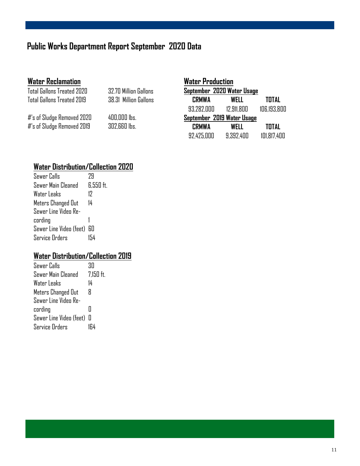### **Public Works Department Report September 2020 Data**

#### **Water Reclamation**

| Total Gallons Treated 2020 |  |
|----------------------------|--|
| Total Gallons Treated 2019 |  |

**32.70 Million Gallons** 38.31 Million Gallons

#'s of Sludge Removed 2020 400,000 lbs. #'s of Sludge Removed 2019 302,660 lbs.

| <b>Water Production</b>    |                            |              |  |  |  |  |
|----------------------------|----------------------------|--------------|--|--|--|--|
|                            | September 2020 Water Usage |              |  |  |  |  |
| <b>CRMWA</b>               | WELL                       | TOTAL        |  |  |  |  |
| 93.282.000                 | 12,911,800                 | 106,193,800  |  |  |  |  |
| September 2019 Water Usage |                            |              |  |  |  |  |
| <b>CRMWA</b>               | WELL                       | <b>TOTAL</b> |  |  |  |  |
| 92,425,000                 | 9.392.400                  | 101.817.400  |  |  |  |  |

### **Water Distribution/Collection 2020**

| Sewer Calls                | 79        |
|----------------------------|-----------|
| Sewer Main Cleaned         | 6.550 ft. |
| Water Leaks                | 17        |
| Meters Changed Out         | 14        |
| Sewer Line Video Re-       |           |
| cording                    |           |
| Sewer Line Video (feet) 60 |           |
| Service Orders             | 154       |

#### **Water Distribution/Collection 2019**

| Sewer Calls               | ЗN          |
|---------------------------|-------------|
| Sewer Main Cleaned        | $7,150$ ft. |
| Water Leaks               | 14          |
| Meters Changed Out        | Я           |
| Sewer Line Video Re-      |             |
| cording                   | Н           |
| Sewer Line Video (feet) 0 |             |
| <b>Service Orders</b>     |             |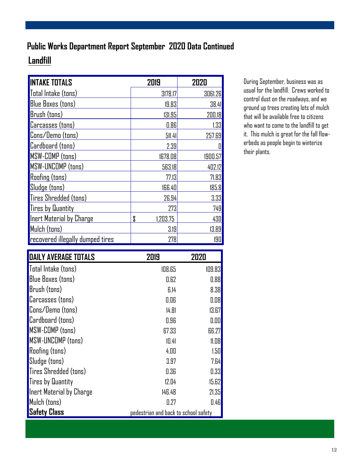## **Landfill Public Works Department Report September 2020 Data Continued**

| <b>INTAKE TOTALS</b>                    | 2019           | 2020    |
|-----------------------------------------|----------------|---------|
| Total Intake (tons)                     | 3178.17        | 3061.26 |
| <b>Blue Boxes (tons)</b>                | 19.83          | 38.41   |
| <b>Brush</b> (tons)                     | 131.95         | 200.18  |
| <b>Carcasses</b> (tons)                 | 0.86           | 1.33    |
| <b>Cons/Demo</b> (tons)                 | 511.41         | 257.69  |
| Cardboard (tons)                        | 2.39           |         |
| <b>MSW-COMP</b> (tons)                  | 1678.08        | 1900.57 |
| MSW-UNCOMP (tons)                       | 563.18         | 402.12  |
| <b>Roofing (tons)</b>                   | 77.13          | 71.83   |
| Sludge (tons)                           | 166.40         | 185.8   |
| Tires Shredded (tons)                   | 26.94          | 3.33    |
| Tires by Quantity                       | 273            | 749     |
| Inert Material by Charge                | \$<br>1,203.75 | 430     |
| Mulch (tons)                            | 3.19           | 13.89   |
| <b>recovered illegally dumped tires</b> | 278            | 190     |

During September, business was as usual for the landfill. Crews worked to control dust on the roadways, and we ground up trees creating lots of mulch that will be available free to citizens who want to come to the landfill to get it. This mulch is great for the fall flowerbeds as people begin to winterize their plants.

| <b>DAILY AVERAGE TOTALS</b> | 2019                                 | 2020   |
|-----------------------------|--------------------------------------|--------|
| Total Intake (tons)         | 108.65                               | 109.83 |
| <b>Blue Boxes (tons)</b>    | 0.62                                 | 0.88   |
| Brush (tons)                | 6.14                                 | 8.38   |
| <b>Carcasses</b> (tons)     | 0.06                                 | 0.08   |
| Cons/Demo (tons)            | 14.81                                | 13.67  |
| Cardboard (tons)            | 0.96                                 | 0.00   |
| MSW-COMP (tons)             | 67.33                                | 66.27  |
| <b>MSW-UNCOMP</b> (tons)    | 10.41                                | 11.08  |
| <b>Roofing (tons)</b>       | 4.00                                 | 1.50   |
| Sludge (tons)               | 3.97                                 | 7.64   |
| Tires Shredded (tons)       | 0.36                                 | 0.33   |
| <b>Tires by Quantity</b>    | 12.04                                | 15.62  |
| Inert Material by Charge    | 146.48                               | 21.35  |
| Mulch (tons)                | 0.27                                 | 0.46   |
| <mark> </mark> Safety Class | pedestrian and back to school safety |        |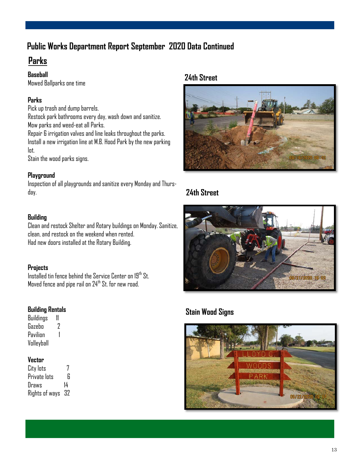### **Public Works Department Report September 2020 Data Continued**

### **Parks**

#### **Baseball**

Mowed Ballparks one time

#### **Parks**

Pick up trash and dump barrels. Restock park bathrooms every day, wash down and sanitize. Mow parks and weed-eat all Parks. Repair 6 irrigation valves and line leaks throughout the parks. Install a new irrigation line at M.B. Hood Park by the new parking lot.

Stain the wood parks signs.

#### **Playground**

Inspection of all playgrounds and sanitize every Monday and Thursday.

#### **Building**

Clean and restock Shelter and Rotary buildings on Monday. Sanitize, clean, and restock on the weekend when rented. Had new doors installed at the Rotary Building.

#### **Projects**

Installed tin fence behind the Service Center on  $19^{th}$  St. Moved fence and pipe rail on 24<sup>th</sup> St. for new road.

#### **Building Rentals**

Buildings 11 Gazebo 2 Pavilinn 1 Volleyball

#### **Vector**

City lots 7 Private Ints 6 Draws 14 Rights of ways 32

#### **24th Street**



#### **24th Street**



#### **Stain Wood Signs**

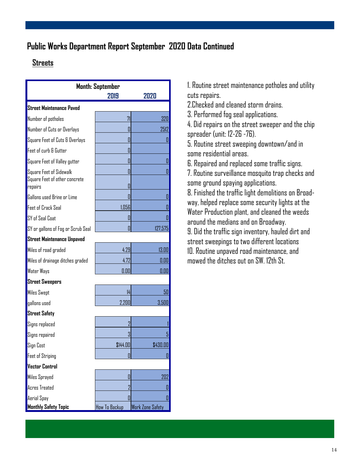### **Public Works Department Report September 2020 Data Continued**

#### **Streets**

| <b>Month: September</b>                  |                |                         |  |  |
|------------------------------------------|----------------|-------------------------|--|--|
| 2019<br>2020                             |                |                         |  |  |
| <b>Street Maintenance Paved</b>          |                |                         |  |  |
| Number of potholes                       | 71             | 320                     |  |  |
| Number of Cuts or Overlays               | П              | 2512                    |  |  |
| Square Feet of Cuts & Overlays           | Π              | 0                       |  |  |
| Feet of curb & Gutter                    | П              |                         |  |  |
| Square Feet of Valley gutter             | Π              | 0                       |  |  |
| Square Feet of Sidewalk                  | Π              | 0                       |  |  |
| Square Feet of other concrete<br>repairs | П              |                         |  |  |
| Gallons used Brine or Lime               | П              | 0                       |  |  |
| Feet of Crack Seal                       | 1,056          | П                       |  |  |
| SY of Seal Coat                          | П              | П                       |  |  |
| SY or gallons of Fog or Scrub Seal       | П              | 127,575                 |  |  |
| <b>Street Maintenance Unpaved</b>        |                |                         |  |  |
| Miles of road graded                     | 4.29           | 13.00                   |  |  |
| Miles of drainage ditches graded         | 4.72           | 0.00                    |  |  |
| Water Ways                               | 0.00           | 0.00                    |  |  |
| <b>Street Sweepers</b>                   |                |                         |  |  |
| <b>Miles Swept</b>                       | 14             | 50                      |  |  |
| gallons used                             | 2,200          | 3,500                   |  |  |
| <b>Street Safety</b>                     |                |                         |  |  |
| Signs replaced                           | 2              |                         |  |  |
| Signs repaired                           | 3              | 5                       |  |  |
| Sign Cost                                | \$144.00       | \$43U.UU                |  |  |
| Feet of Striping                         |                | $\mathbf{0}$            |  |  |
| <b>Vector Control</b>                    |                |                         |  |  |
| Miles Sprayed                            | II             | 202                     |  |  |
| <b>Acres Treated</b>                     | $\overline{2}$ | 0                       |  |  |
| Aerial Spay                              | П              | 0                       |  |  |
| <b>Monthly Safety Topic</b>              | How To Backup  | <b>Work Zone Safety</b> |  |  |

1. Routine street maintenance potholes and utility cuts repairs.

2.Checked and cleaned storm drains.

3. Performed fog seal applications.

4. Did repairs on the street sweeper and the chip spreader (unit: 12-26 -76).

5. Routine street sweeping downtown/and in some residential areas.

6. Repaired and replaced some traffic signs.

7. Routine surveillance mosquito trap checks and some ground spaying applications.

8. Finished the traffic light demolitions on Broadway, helped replace some security lights at the Water Production plant, and cleaned the weeds around the medians and on Broadway.

9. Did the traffic sign inventory, hauled dirt and street sweepings to two different locations 10. Routine unpaved road maintenance, and mowed the ditches out on SW. 12th St.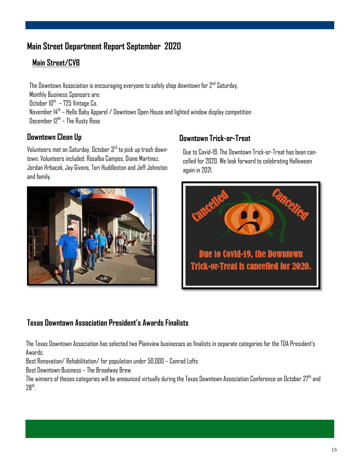### **Main Street Department Report September 2020**

#### **Main Street/CVB**

The Downtown Association is encouraging everyone to safely shop downtown for 2<sup>nd</sup> Saturday. Monthly Business Sponsors are: October  $10^{th}$  – 725 Vintage Co. November 14th – Hello Baby Apparel / Downtown Open House and lighted window display competition  $\overline{D}$ ecember 12<sup>th</sup> – The Rusty Rose

Volunteers met on Saturday, October  $3<sup>rd</sup>$  to pick up trash downtown. Volunteers included: Rosalba Campos, Diane Martinez, Jordan Hrbacek, Jay Givens, Tori Huddleston and Jeff Johnston and family.



### **Downtown Clean Up Account Clean Up** Downtown Trick-or-Treat

Due to Covid-19, The Downtown Trick-or-Treat has been cancelled for 2020. We look forward to celebrating Halloween again in 2021.



#### **Texas Downtown Association President's Awards Finalists**

The Texas Downtown Association has selected two Plainview businesses as finalists in separate categories for the TDA President's Awards.

Best Renovation/ Rehabilitation/ for population under 50,000 – Conrad Lofts

Best Downtown Business – The Broadway Brew

The winners of theses categories will be announced virtually during the Texas Downtown Association Conference on October 27th and 28th .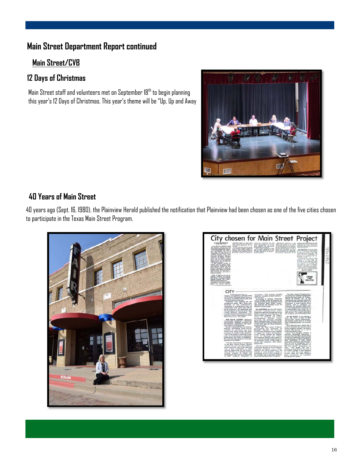### **Main Street Department Report continued**

#### **Main Street/CVB**

#### **12 Days of Christmas**

Main Street staff and volunteers met on September 18<sup>th</sup> to begin planning this year's 12 Days of Christmas. This year's theme will be "Up, Up and Away



#### **40 Years of Main Street**

40 years ago (Sept. 16, 1980), the Plainview Herald published the notification that Plainview had been chosen as one of the five cities chosen to participate in the Texas Main Street Program.



| City chosen for Main Street Project<br>$-20 - 10$                                                                                                                                                                                                                                                                                                                                                                                                                                                                                                                                                                                                                                                                                                                                                                                                                                                                                                                                                                                                                                                                                                                                                                                                                                                                                                                                                                                                                                                                                                                                                                                                                                                                                                                                                                                                                                  |                                                                                                                                                                                                                                                                                                                                                                                                                                                                                                                                                                                                                                                                                                                                                                                                                                                                                                                                                                                                                                                                                                                                                                                                                                                                                                                                                                                                                                                                                                                |                                                                                                                                                                                                                                                                                                                                                                                                                                                                                                                                                                                                                                                                                                                                                                                                                                                                                                                                                                                                                                                                                                                                                                                                                                                                                                                                                                                                                                                                                                                                                                                                                                                 |                                    |
|------------------------------------------------------------------------------------------------------------------------------------------------------------------------------------------------------------------------------------------------------------------------------------------------------------------------------------------------------------------------------------------------------------------------------------------------------------------------------------------------------------------------------------------------------------------------------------------------------------------------------------------------------------------------------------------------------------------------------------------------------------------------------------------------------------------------------------------------------------------------------------------------------------------------------------------------------------------------------------------------------------------------------------------------------------------------------------------------------------------------------------------------------------------------------------------------------------------------------------------------------------------------------------------------------------------------------------------------------------------------------------------------------------------------------------------------------------------------------------------------------------------------------------------------------------------------------------------------------------------------------------------------------------------------------------------------------------------------------------------------------------------------------------------------------------------------------------------------------------------------------------|----------------------------------------------------------------------------------------------------------------------------------------------------------------------------------------------------------------------------------------------------------------------------------------------------------------------------------------------------------------------------------------------------------------------------------------------------------------------------------------------------------------------------------------------------------------------------------------------------------------------------------------------------------------------------------------------------------------------------------------------------------------------------------------------------------------------------------------------------------------------------------------------------------------------------------------------------------------------------------------------------------------------------------------------------------------------------------------------------------------------------------------------------------------------------------------------------------------------------------------------------------------------------------------------------------------------------------------------------------------------------------------------------------------------------------------------------------------------------------------------------------------|-------------------------------------------------------------------------------------------------------------------------------------------------------------------------------------------------------------------------------------------------------------------------------------------------------------------------------------------------------------------------------------------------------------------------------------------------------------------------------------------------------------------------------------------------------------------------------------------------------------------------------------------------------------------------------------------------------------------------------------------------------------------------------------------------------------------------------------------------------------------------------------------------------------------------------------------------------------------------------------------------------------------------------------------------------------------------------------------------------------------------------------------------------------------------------------------------------------------------------------------------------------------------------------------------------------------------------------------------------------------------------------------------------------------------------------------------------------------------------------------------------------------------------------------------------------------------------------------------------------------------------------------------|------------------------------------|
| progres in contacts that recommends at<br>original approvales and can<br>Long attrack in Books rated<br>All and Care<br>in Fast, drive land lookers harmed<br><b>REMOVED</b><br>SCHRONI<br>town Memory.<br>when most the<br>loom offers will take sent in the<br>die before in bank at 3 gehörde au-<br>an a<br><b>Control on British</b><br><b>Mariana</b><br><b>Wither</b><br>and Separate Corp. No. 74.<br><b>Assemer Hamiltowns of Boldenbaro</b><br>marks:                                                                                                                                                                                                                                                                                                                                                                                                                                                                                                                                                                                                                                                                                                                                                                                                                                                                                                                                                                                                                                                                                                                                                                                                                                                                                                                                                                                                                    | 172<br>worked from<br><b><i>SAFERNING HOUSE</i></b><br><b>Northern</b><br>$\equiv$<br>species.<br>retired by a factory of the class<br>tard in make approved by the<br>IN trial against by its proper-<br>-                                                                                                                                                                                                                                                                                                                                                                                                                                                                                                                                                                                                                                                                                                                                                                                                                                                                                                                                                                                                                                                                                                                                                                                                                                                                                                    | the process is an old on their<br>tripit and complet of his from<br>the fact reduction and statistics of the ap-<br>spins bund and is to planting<br>had the investment in the program<br>and the season of the control of<br>all classified on seven of the<br>short his serious per per-<br>children during land masketing<br>artists I seat from the first service and<br>o da Justicas Bridgeta<br>Instanta o Ad a de Bak<br>shot considering an ingitiation.<br><b>Britannick Associations</b><br><b>Busine Generale</b><br>÷<br>and a lot of the commission's at-<br>Antarina de<br><b>Country of</b><br>$\sim$<br>products. Writers<br><b>According to Minn Book or a State</b><br><b>STORY</b><br><b>21.00 MM 22</b><br>allocated of the Monitorell, string<br>a straight communities. Memoriana<br><b>Burnett Gallery</b><br>$\rightarrow$<br>A Value<br><b>WARDER</b><br>28.0%<br>$\overline{\phantom{a}}$                                                                                                                                                                                                                                                                                                                                                                                                                                                                                                                                                                                                                                                                                                                            | -<br>ς,<br>-<br>-<br>$\infty$<br>u |
| 22,452,552<br><b>CENTILL</b><br>but as Firmannello, Localia<br>regarded exclusively. And I know a<br>all is second a Pascian.<br>The program will finish at allowing to<br>possibility in the station incomes<br>agreed top secretar believers<br>CITY<br>Castina d'Iran Pap Un<br>funding, in branded by racintati practic<br>to the moth. Russing Water Drive to<br>the south. Culumbia Bohad to the work<br>and Date Screen to the runk<br>Plainting was selected for the<br>prospective buset. Mrs. Rood suit.<br>bocause of the community's<br>reputation as a progressive city, the<br>bookground with state and beloved<br>given programs. On population and<br>÷<br>the high degree of activity to the flate<br>County Maturial Commission, "We<br>cussion devolues Palaries is tare<br>busineries of factories responsessionisms of the<br>West Treasur arms." also willink<br>×<br>THE RALE COUNTY Returned<br>- Commission resolution a downtown<br>plastnay rapher building inventory for<br>the program application and other-<br>wise asked at its completion.<br>Hunder explained that low interiod.<br>federally guaranteed looks will be<br>products to merchants and stars<br>contacts with notest grunts and lease.<br>produce for public works property.<br>"Use of the things I would like to see<br>come out of this project is dewistown<br>intellectuated and parts development.<br>We could aim them grants to brierings<br>spoint private funds."<br>With the metallaration of accountance<br>in the Wain Street Propert, Hatchell<br>cald the city new will start annuing a<br>present director, one of the tores the<br>city council restoration to when<br>making application for the property<br>That director is to undergo several<br>training actorists at Austin and<br>Fastendon, then will be a Fasterer<br>to affect technical associators to | morrhams. "The program benefits<br>could be proclates around January.<br><b>MarioRed metal</b><br>Accurding to Bernett, Plateries<br>will be situation some the program. for<br>perhasing advice and assistance from<br>the National Main Street Council.<br>sperated by the National Struck for<br><b>Hutchist Preservation</b><br>OK ADDITION, the city will receive<br>principle executivation ander<br>programs operated directly the seven<br>Index's sprinter participating in the<br>Mush Screen Program the Depart-<br>ments of Housing and Urban<br>Trans<br>Development, Interior,<br>partarian, the Ecopolic Develop-<br>lace Anti-question, Furnish Build<br>Administration, National Endowment.<br>of the Arts and the local Business<br>Administration<br>While the Walk School Program<br>participation was attropieted an<br>Munday, Natchel this marking<br>instruct that Plaintine is low stighter<br>in space for Urban Development<br>Artist Grants tempt the Deputy<br>ment of dounces and Urban<br>Development, Based on the number of<br>pola crowled derough basied projection<br>he program consin a wide range of<br>grants and assessors, held public<br>and private.<br>Harchel and dut by program man<br>aventually be used to sid in funding a<br>proposed Flaterare circ content<br>however the USAS program in not<br>tomined to meth projects. "This is<br>scientisting we have been working on<br>for months and it just give hand in<br>hand with the Wate Street Pringram. | <b>CRIME</b><br>LINE<br>296-2122<br>The Main Street Program was !<br>second major business announce-th-<br>shoring the post work. On Friday,<br>afforced of Ventures, Inc., of Auto<br>announced the planned controllers<br>of a \$13 million Montary mail in w-<br>Plagetare, A joint vesture between<br>Feature and a Canadian for<br>Washingt, the planned indust facts<br>in he has complimed an allend 40 per-<br>of understinding land stong the ac-<br>edge of bearings if between 12th a<br><b>18th acres to annivir levelin's</b><br>the discounting artics with he Moose Drive<br>TO BE BUILT in two pluses, 1<br>mail will cover a total of MAA<br>square last. Artual numbration<br>the facility made start in 12 most<br>with cumpletion some 10 to 18 month<br><b>Latitude</b><br><b>Wall afforiate have asked that I</b><br>area be assurant also the olic and it<br>estate property receiped. The mail w<br>roughed MR perhaps on a full-time<br><b>Section and NW parts GMW</b><br>Santon James Imanigman Imachuris an<br>allows, spretared adurable, a<br>dealed that the Main Street Price.<br>should give downtown store spendix<br>are responitured a for special and incoming<br>their bannerham to help continu-<br>attracting rustators into the area o<br>well as out in competing with it<br>plasted mail Batchet, however, to<br>the two should complement was<br>silent. "The people who will it<br>reming to Plaintin's for the mail set<br>be curricus example to book directions<br>on well, and the sums neather a<br>receive. Buts will make Pacenter<br>more attractive to radiomer<br>throughout the region. |                                    |